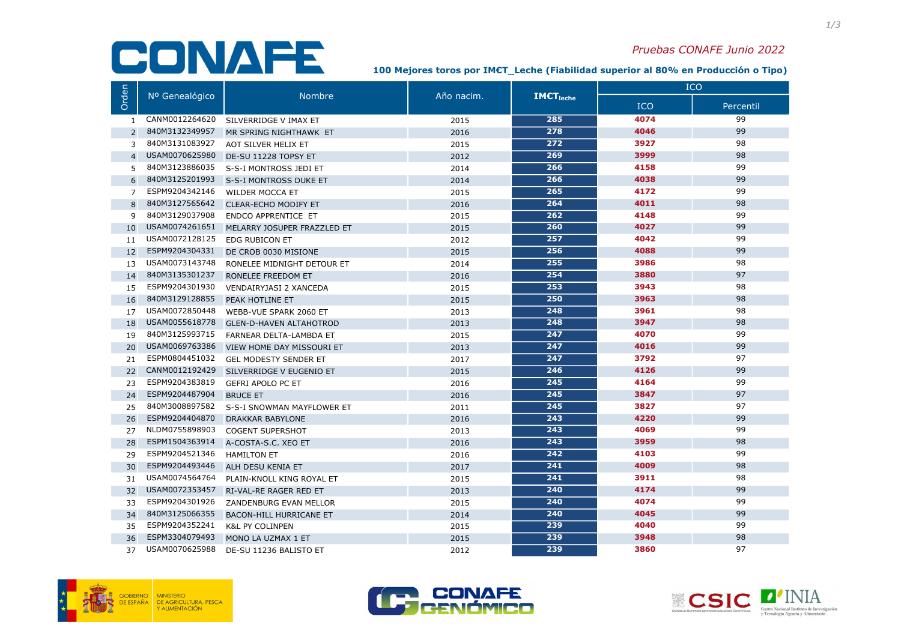# CONAFE

#### Pruebas CONAFE Junio 2022

100 Mejores toros por IM€T\_Leche (Fiabilidad superior al 80% en Producción o Tipo)

|                | Nº Genealógico | <b>Nombre</b>                  | Año nacim. | <b>IMCT</b> <sub>leche</sub> | <b>ICO</b> |           |
|----------------|----------------|--------------------------------|------------|------------------------------|------------|-----------|
| Orden          |                |                                |            |                              | <b>ICO</b> | Percentil |
| $\mathbf{1}$   | CANM0012264620 | SILVERRIDGE V IMAX ET          | 2015       | 285                          | 4074       | 99        |
| 2              | 840M3132349957 | MR SPRING NIGHTHAWK ET         | 2016       | 278                          | 4046       | 99        |
| 3              | 840M3131083927 | AOT SILVER HELIX ET            | 2015       | 272                          | 3927       | 98        |
| $\overline{4}$ | USAM0070625980 | DE-SU 11228 TOPSY ET           | 2012       | 269                          | 3999       | 98        |
| 5              | 840M3123886035 | S-S-I MONTROSS JEDI ET         | 2014       | 266                          | 4158       | 99        |
| 6              | 840M3125201993 | S-S-I MONTROSS DUKE ET         | 2014       | 266                          | 4038       | 99        |
| $\overline{7}$ | ESPM9204342146 | <b>WILDER MOCCA ET</b>         | 2015       | 265                          | 4172       | 99        |
| 8              | 840M3127565642 | <b>CLEAR-ECHO MODIFY ET</b>    | 2016       | 264                          | 4011       | 98        |
| 9              | 840M3129037908 | ENDCO APPRENTICE ET            | 2015       | 262                          | 4148       | 99        |
| 10             | USAM0074261651 | MELARRY JOSUPER FRAZZLED ET    | 2015       | 260                          | 4027       | 99        |
| 11             | USAM0072128125 | <b>EDG RUBICON ET</b>          | 2012       | 257                          | 4042       | 99        |
| 12             | ESPM9204304331 | DE CROB 0030 MISIONE           | 2015       | 256                          | 4088       | 99        |
| 13             | USAM0073143748 | RONELEE MIDNIGHT DETOUR ET     | 2014       | 255                          | 3986       | 98        |
| 14             | 840M3135301237 | RONELEE FREEDOM ET             | 2016       | 254                          | 3880       | 97        |
| 15             | ESPM9204301930 | VENDAIRYJASI 2 XANCEDA         | 2015       | 253                          | 3943       | 98        |
| 16             | 840M3129128855 | PEAK HOTLINE ET                | 2015       | 250                          | 3963       | 98        |
| 17             | USAM0072850448 | WEBB-VUE SPARK 2060 ET         | 2013       | 248                          | 3961       | 98        |
| 18             | USAM0055618778 | <b>GLEN-D-HAVEN ALTAHOTROD</b> | 2013       | 248                          | 3947       | 98        |
| 19             | 840M3125993715 | FARNEAR DELTA-LAMBDA ET        | 2015       | 247                          | 4070       | 99        |
| 20             | USAM0069763386 | VIEW HOME DAY MISSOURI ET      | 2013       | 247                          | 4016       | 99        |
| 21             | ESPM0804451032 | <b>GEL MODESTY SENDER ET</b>   | 2017       | 247                          | 3792       | 97        |
| 22             | CANM0012192429 | SILVERRIDGE V EUGENIO ET       | 2015       | 246                          | 4126       | 99        |
| 23             | ESPM9204383819 | <b>GEFRI APOLO PC ET</b>       | 2016       | 245                          | 4164       | 99        |
| 24             | ESPM9204487904 | <b>BRUCE ET</b>                | 2016       | 245                          | 3847       | 97        |
| 25             | 840M3008897582 | S-S-I SNOWMAN MAYFLOWER ET     | 2011       | 245                          | 3827       | 97        |
| 26             | ESPM9204404870 | <b>DRAKKAR BABYLONE</b>        | 2016       | 243                          | 4220       | 99        |
| 27             | NLDM0755898903 | <b>COGENT SUPERSHOT</b>        | 2013       | 243                          | 4069       | 99        |
| 28             | ESPM1504363914 | A-COSTA-S.C. XEO ET            | 2016       | 243                          | 3959       | 98        |
| 29             | ESPM9204521346 | <b>HAMILTON ET</b>             | 2016       | 242                          | 4103       | 99        |
| 30             | ESPM9204493446 | ALH DESU KENIA ET              | 2017       | 241                          | 4009       | 98        |
| 31             | USAM0074564764 | PLAIN-KNOLL KING ROYAL ET      | 2015       | 241                          | 3911       | 98        |
| 32             | USAM0072353457 | RI-VAL-RE RAGER RED ET         | 2013       | 240                          | 4174       | 99        |
| 33             | ESPM9204301926 | ZANDENBURG EVAN MELLOR         | 2015       | 240                          | 4074       | 99        |
| 34             | 840M3125066355 | <b>BACON-HILL HURRICANE ET</b> | 2014       | 240                          | 4045       | 99        |
| 35             | ESPM9204352241 | <b>K&amp;L PY COLINPEN</b>     | 2015       | 239                          | 4040       | 99        |
| 36             | ESPM3304079493 | MONO LA UZMAX 1 ET             | 2015       | 239                          | 3948       | 98        |
| 37             | USAM0070625988 | DE-SU 11236 BALISTO ET         | 2012       | 239                          | 3860       | 97        |





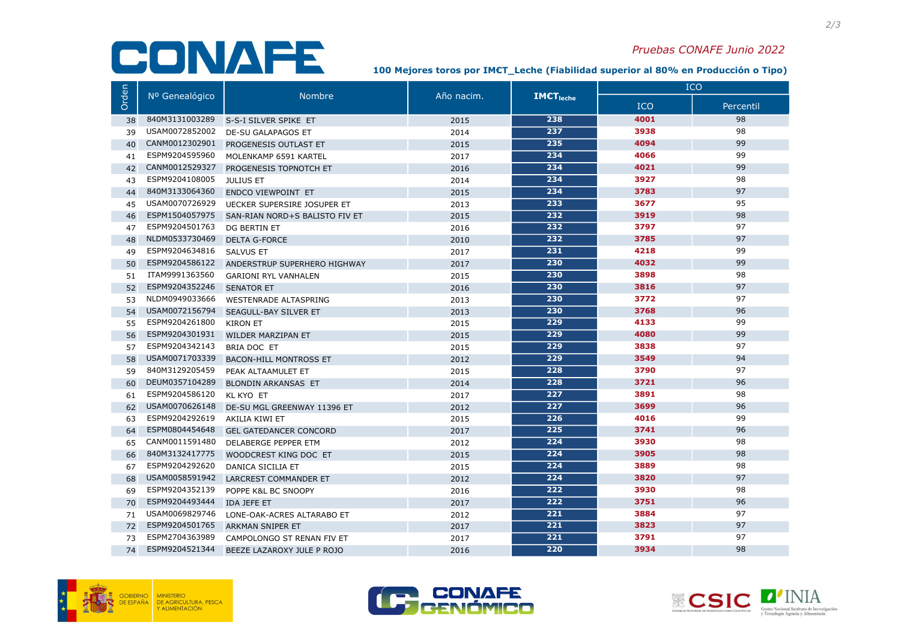# CONAFE

#### Pruebas CONAFE Junio 2022

100 Mejores toros por IM€T\_Leche (Fiabilidad superior al 80% en Producción o Tipo)

|       | Nº Genealógico | <b>Nombre</b>                  | Año nacim. | <b>IMCT</b> <sub>leche</sub> | <b>ICO</b> |           |
|-------|----------------|--------------------------------|------------|------------------------------|------------|-----------|
| Orden |                |                                |            |                              | <b>ICO</b> | Percentil |
| 38    | 840M3131003289 | S-S-I SILVER SPIKE ET          | 2015       | 238                          | 4001       | 98        |
| 39    | USAM0072852002 | DE-SU GALAPAGOS ET             | 2014       | 237                          | 3938       | 98        |
| 40    | CANM0012302901 | PROGENESIS OUTLAST ET          | 2015       | 235                          | 4094       | 99        |
| 41    | ESPM9204595960 | MOLENKAMP 6591 KARTEL          | 2017       | 234                          | 4066       | 99        |
| 42    | CANM0012529327 | PROGENESIS TOPNOTCH ET         | 2016       | 234                          | 4021       | 99        |
| 43    | ESPM9204108005 | <b>JULIUS ET</b>               | 2014       | 234                          | 3927       | 98        |
| 44    | 840M3133064360 | ENDCO VIEWPOINT ET             | 2015       | 234                          | 3783       | 97        |
| 45    | USAM0070726929 | UECKER SUPERSIRE JOSUPER ET    | 2013       | 233                          | 3677       | 95        |
| 46    | ESPM1504057975 | SAN-RIAN NORD+S BALISTO FIV ET | 2015       | 232                          | 3919       | 98        |
| 47    | ESPM9204501763 | DG BERTIN ET                   | 2016       | 232                          | 3797       | 97        |
| 48    | NLDM0533730469 | <b>DELTA G-FORCE</b>           | 2010       | 232                          | 3785       | 97        |
| 49    | ESPM9204634816 | <b>SALVUS ET</b>               | 2017       | 231                          | 4218       | 99        |
| 50    | ESPM9204586122 | ANDERSTRUP SUPERHERO HIGHWAY   | 2017       | 230                          | 4032       | 99        |
| 51    | ITAM9991363560 | <b>GARIONI RYL VANHALEN</b>    | 2015       | 230                          | 3898       | 98        |
| 52    | ESPM9204352246 | <b>SENATOR ET</b>              | 2016       | 230                          | 3816       | 97        |
| 53    | NLDM0949033666 | <b>WESTENRADE ALTASPRING</b>   | 2013       | 230                          | 3772       | 97        |
| 54    | USAM0072156794 | SEAGULL-BAY SILVER ET          | 2013       | 230                          | 3768       | 96        |
| 55    | ESPM9204261800 | <b>KIRON ET</b>                | 2015       | 229                          | 4133       | 99        |
| 56    | ESPM9204301931 | <b>WILDER MARZIPAN ET</b>      | 2015       | 229                          | 4080       | 99        |
| 57    | ESPM9204342143 | BRIA DOC ET                    | 2015       | 229                          | 3838       | 97        |
| 58    | USAM0071703339 | <b>BACON-HILL MONTROSS ET</b>  | 2012       | 229                          | 3549       | 94        |
| 59    | 840M3129205459 | PEAK ALTAAMULET ET             | 2015       | 228                          | 3790       | 97        |
| 60    | DEUM0357104289 | <b>BLONDIN ARKANSAS ET</b>     | 2014       | 228                          | 3721       | 96        |
| 61    | ESPM9204586120 | KL KYO ET                      | 2017       | 227                          | 3891       | 98        |
| 62    | USAM0070626148 | DE-SU MGL GREENWAY 11396 ET    | 2012       | 227                          | 3699       | 96        |
| 63    | ESPM9204292619 | AKILIA KIWI ET                 | 2015       | 226                          | 4016       | 99        |
| 64    | ESPM0804454648 | <b>GEL GATEDANCER CONCORD</b>  | 2017       | 225                          | 3741       | 96        |
| 65    | CANM0011591480 | DELABERGE PEPPER ETM           | 2012       | 224                          | 3930       | 98        |
| 66    | 840M3132417775 | WOODCREST KING DOC ET          | 2015       | 224                          | 3905       | 98        |
| 67    | ESPM9204292620 | DANICA SICILIA ET              | 2015       | 224                          | 3889       | 98        |
| 68    | USAM0058591942 | LARCREST COMMANDER ET          | 2012       | 224                          | 3820       | 97        |
| 69    | ESPM9204352139 | POPPE K&L BC SNOOPY            | 2016       | 222                          | 3930       | 98        |
| 70    | ESPM9204493444 | <b>IDA JEFE ET</b>             | 2017       | 222                          | 3751       | 96        |
| 71    | USAM0069829746 | LONE-OAK-ACRES ALTARABO ET     | 2012       | 221                          | 3884       | 97        |
| 72    | ESPM9204501765 | <b>ARKMAN SNIPER ET</b>        | 2017       | 221                          | 3823       | 97        |
| 73    | ESPM2704363989 | CAMPOLONGO ST RENAN FIV ET     | 2017       | 221                          | 3791       | 97        |
| 74    | ESPM9204521344 | BEEZE LAZAROXY JULE P ROJO     | 2016       | 220                          | 3934       | 98        |